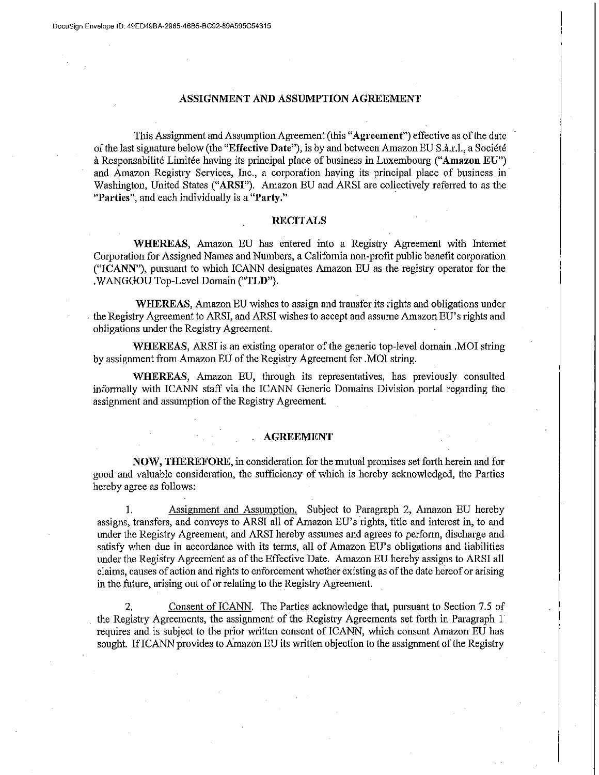## ASSIGNMENT AND ASSUMPTION AGREEMENT

This Assignment and Assumption Agreement (this "Agreement") effective as of the date of the last signature below (the "Effective Date"), is by and between Amazon EU S.a.r.l., a Societe a Responsabilite Limitee having its principal place of business in Luxembourg ("Amazon EU") and Amazon Registry Services, Inc., a corporation having its principal place of business in· Washington, United States ("ARSI"). Amazon EU and ARSI are collectively referred to as the "Parties", and each individually is a "Party."

## **RECITALS**

WHEREAS, Amazon EU has entered into a Registry Agreement with Internet Corporation for Assigned Names and Numbers, a California non-profit public benefit corporation ("!CANN"), pursuant to which ICANN designates Amazon EU as the registry operator for the .WANGGOU Top-Level Domain ("TLD").

WHEREAS, Amazon EU wishes to assign and transfer its rights and obligations under . the Registry Agreement to ARSI, and ARSI wishes to accept and assume Amazon EU's rights and obligations under the Registry Agreement.

WHEREAS, ARSI is an existing operator of the generic top-level domain .MOI string by assignment from Amazon EU of the Registry Agreement for .MOI string.

WHEREAS, Amazon EU, through its representatives, has previously consulted informally with ICANN staff via the ICANN Generic Domains Division portal regarding the assignment and assumption of the Registry Agreement.

## AGREEMENT

NOW, THEREFORE, in consideration for the mutual promises set forth herein and for good and valuable consideration, the sufficiency of which is hereby acknowledged, the Parties hereby agree as follows:

I. Assignment and Assumption. Subject to Paragraph 2, Amazon EU hereby assigns, transfers, and conveys to ARSI all of Amazon EU's rights, title and interest in, to and under the Registry Agreement, and ARSI hereby assumes and agrees to perform, discharge and satisfy when due in accordance with its terms, all of Amazon EU's obligations and liabilities under the Registiy Agreement as of the Effective Date. Amazon EU hereby assigns to ARSI all claims, causes of action and rights to enforcement whether existing as of the date hereof or arising in the future, arising out of or relating to the Registry Agreement.

2. Consent of ICANN. The Parties acknowledge that, pursuant to Section 7.5 of the Registry Agreements, the assignment of the Registry Agreements set fotth in Paragraph 1 · requires and is subject to the prior written consent of ICANN, which consent Amazon EU has sought. If ICANN provides to Amazon EU its written objection to the assignment of the Registry